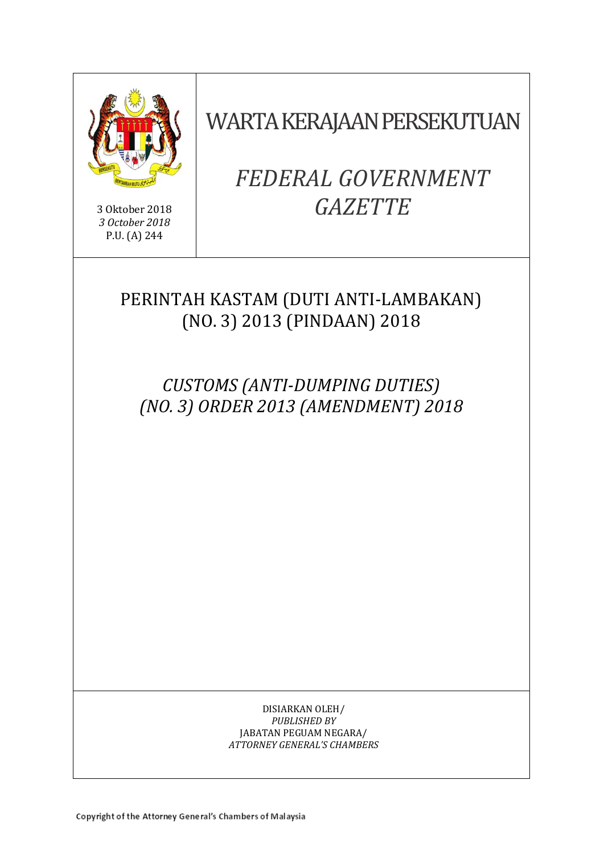

3 Oktober 2018 *3 October 2018* P.U. (A) 244

WARTA KERAJAAN PERSEKUTUAN

# *FEDERAL GOVERNMENT GAZETTE*

# PERINTAH KASTAM (DUTI ANTI-LAMBAKAN) (NO. 3) 2013 (PINDAAN) 2018

*CUSTOMS (ANTI-DUMPING DUTIES) (NO. 3) ORDER 2013 (AMENDMENT) 2018*

> DISIARKAN OLEH/ *PUBLISHED BY* JABATAN PEGUAM NEGARA/ *ATTORNEY GENERAL'S CHAMBERS*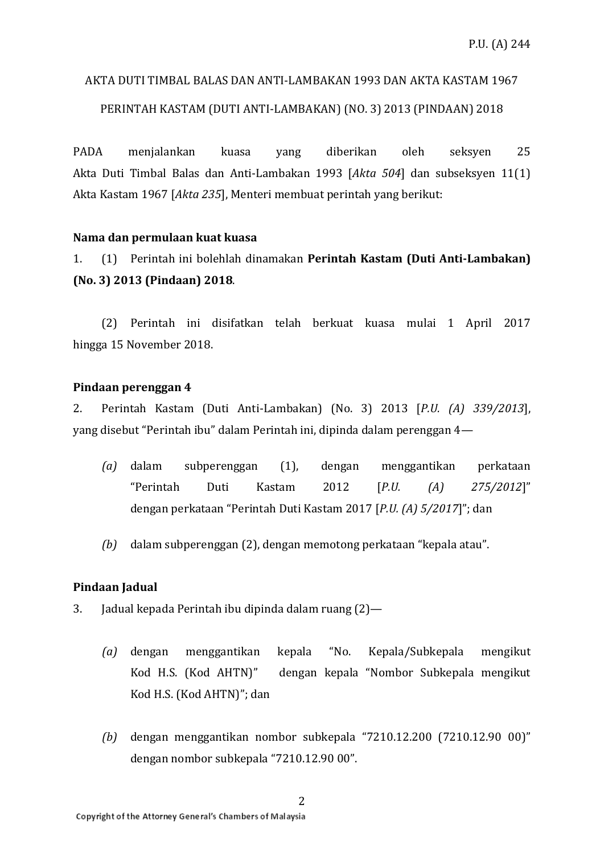# AKTA DUTI TIMBAL BALAS DAN ANTI-LAMBAKAN 1993 DAN AKTA KASTAM 1967

# PERINTAH KASTAM (DUTI ANTI-LAMBAKAN) (NO. 3) 2013 (PINDAAN) 2018

PADA menjalankan kuasa yang diberikan oleh seksyen 25 Akta Duti Timbal Balas dan Anti-Lambakan 1993 [*Akta 504*] dan subseksyen 11(1) Akta Kastam 1967 [*Akta 235*], Menteri membuat perintah yang berikut:

# **Nama dan permulaan kuat kuasa**

1. (1) Perintah ini bolehlah dinamakan **Perintah Kastam (Duti Anti-Lambakan) (No. 3) 2013 (Pindaan) 2018**.

(2) Perintah ini disifatkan telah berkuat kuasa mulai 1 April 2017 hingga 15 November 2018.

### **Pindaan perenggan 4**

2. Perintah Kastam (Duti Anti-Lambakan) (No. 3) 2013 [*P.U. (A) 339/2013*], yang disebut "Perintah ibu" dalam Perintah ini, dipinda dalam perenggan 4—

- *(a)* dalam subperenggan (1), dengan menggantikan perkataan "Perintah Duti Kastam 2012 [*P.U. (A) 275/2012*]" dengan perkataan "Perintah Duti Kastam 2017 [*P.U. (A) 5/2017*]"; dan
- *(b)* dalam subperenggan (2), dengan memotong perkataan "kepala atau".

# **Pindaan Jadual**

- 3. Jadual kepada Perintah ibu dipinda dalam ruang (2)—
	- *(a)* dengan menggantikan kepala "No. Kepala/Subkepala mengikut Kod H.S. (Kod AHTN)" dengan kepala "Nombor Subkepala mengikut Kod H.S. (Kod AHTN)"; dan
	- *(b)* dengan menggantikan nombor subkepala "7210.12.200 (7210.12.90 00)" dengan nombor subkepala "7210.12.90 00".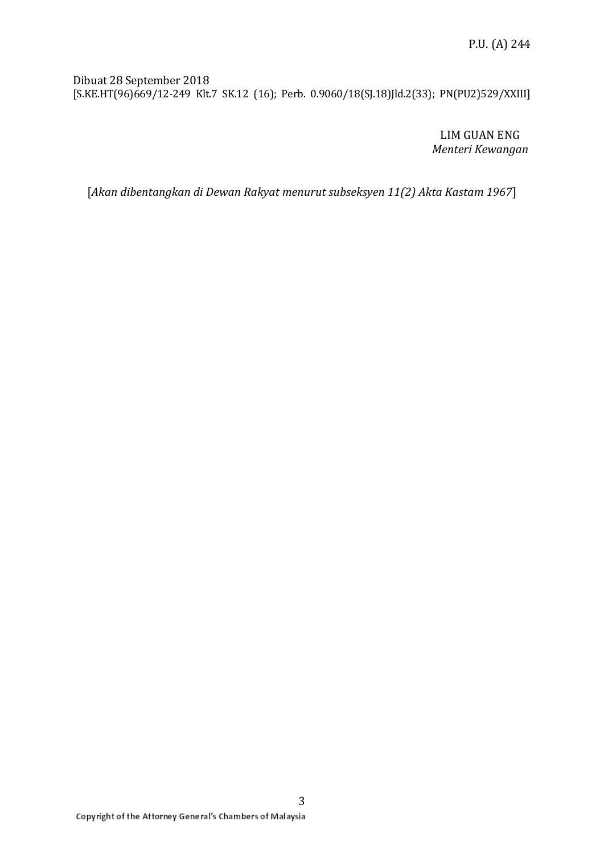Dibuat 28 September 2018 [S.KE.HT(96)669/12-249 Klt.7 SK.12 (16); Perb. 0.9060/18(SJ.18)Jld.2(33); PN(PU2)529/XXIII]

> LIM GUAN ENG *Menteri Kewangan*

[*Akan dibentangkan di Dewan Rakyat menurut subseksyen 11(2) Akta Kastam 1967*]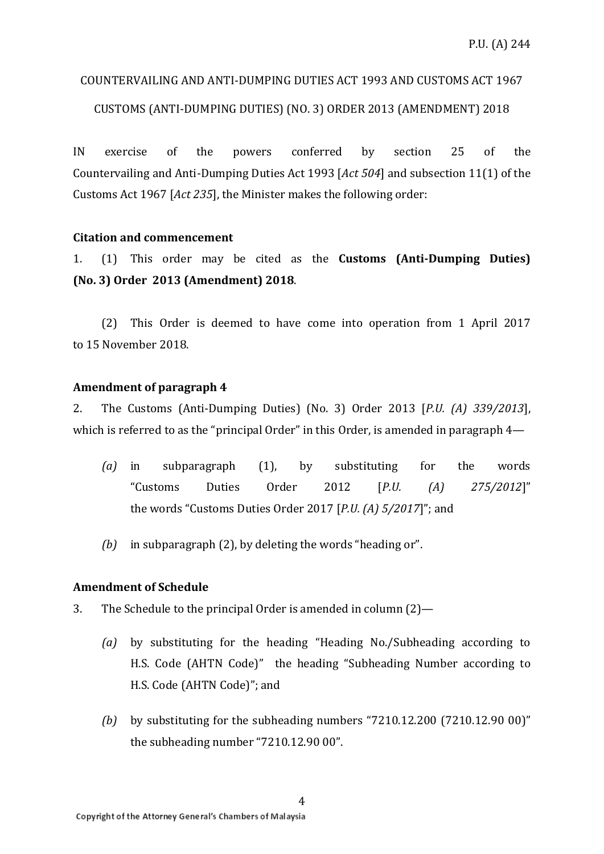# COUNTERVAILING AND ANTI-DUMPING DUTIES ACT 1993 AND CUSTOMS ACT 1967

# CUSTOMS (ANTI-DUMPING DUTIES) (NO. 3) ORDER 2013 (AMENDMENT) 2018

IN exercise of the powers conferred by section 25 of the Countervailing and Anti-Dumping Duties Act 1993 [*Act 504*] and subsection 11(1) of the Customs Act 1967 [*Act 235*], the Minister makes the following order:

# **Citation and commencement**

1. (1) This order may be cited as the **Customs (Anti-Dumping Duties) (No. 3) Order 2013 (Amendment) 2018**.

(2) This Order is deemed to have come into operation from 1 April 2017 to 15 November 2018.

### **Amendment of paragraph 4**

2. The Customs (Anti-Dumping Duties) (No. 3) Order 2013 [*P.U. (A) 339/2013*], which is referred to as the "principal Order" in this Order, is amended in paragraph 4—

- *(a)* in subparagraph (1), by substituting for the words "Customs Duties Order 2012 [*P.U. (A) 275/2012*]" the words "Customs Duties Order 2017 [*P.U. (A) 5/2017*]"; and
- *(b)* in subparagraph (2), by deleting the words "heading or".

### **Amendment of Schedule**

- 3. The Schedule to the principal Order is amended in column (2)—
	- *(a)* by substituting for the heading "Heading No./Subheading according to H.S. Code (AHTN Code)" the heading "Subheading Number according to H.S. Code (AHTN Code)"; and
	- *(b)* by substituting for the subheading numbers "7210.12.200 (7210.12.90 00)" the subheading number "7210.12.90 00".